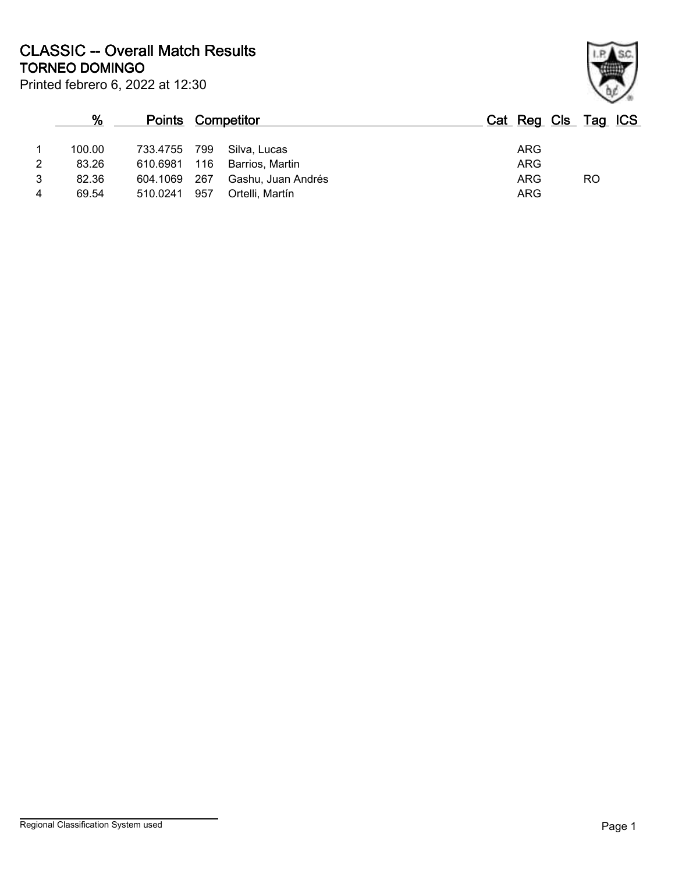Printed febrero 6, 2022 at 12:30 **TORNEO DOMINGO CLASSIC -- Overall Match Results**

|                | %      | <b>Points Competitor</b> |     |                              | Cat Reg Cls Tag ICS |           |  |
|----------------|--------|--------------------------|-----|------------------------------|---------------------|-----------|--|
|                | 100.00 | 733.4755 799             |     | Silva, Lucas                 | <b>ARG</b>          |           |  |
| 2              | 83.26  |                          |     | 610.6981 116 Barrios, Martin | <b>ARG</b>          |           |  |
| 3              | 82.36  | 604.1069 267             |     | Gashu, Juan Andrés           | <b>ARG</b>          | <b>RO</b> |  |
| $\overline{4}$ | 69.54  | 510.0241                 | 957 | Ortelli, Martín              | <b>ARG</b>          |           |  |

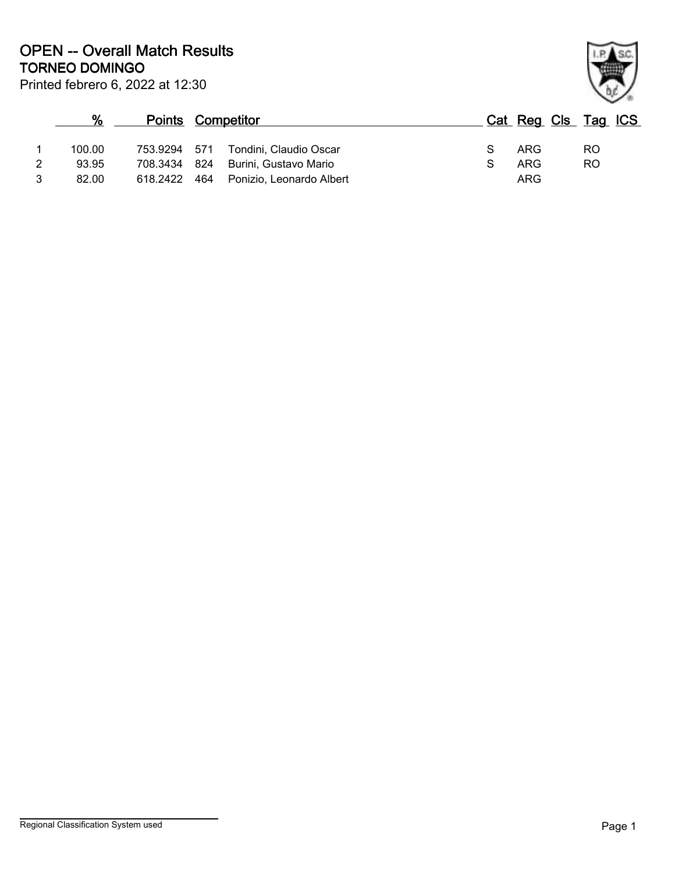Printed febrero 6, 2022 at 12:30 **TORNEO DOMINGO OPEN -- Overall Match Results**

|   | %      | <b>Points Competitor</b> |     |                                    |   | Cat Reg Cls Tag ICS |     |  |
|---|--------|--------------------------|-----|------------------------------------|---|---------------------|-----|--|
|   | 100.00 | 753.9294 571             |     | Tondini. Claudio Oscar             | S | ARG                 | RO. |  |
| 2 | 93.95  |                          |     | 708.3434 824 Burini, Gustavo Mario |   | ARG                 | RO  |  |
| 3 | 82.00  | 618.2422                 | 464 | Ponizio, Leonardo Albert           |   | ARG                 |     |  |

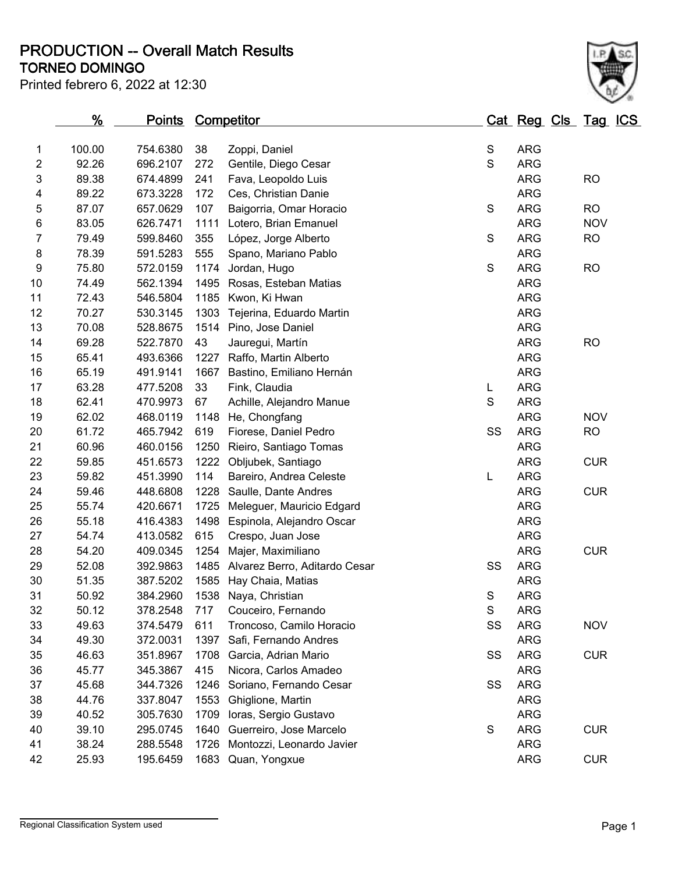**TORNEO DOMINGO PRODUCTION -- Overall Match Results**

| Printed febrero 6, 2022 at 12:30 |  |  |  |  |
|----------------------------------|--|--|--|--|
|----------------------------------|--|--|--|--|



|    | %      | <u>Points</u> |      | <b>Competitor</b>             |             | Cat Reg Cls Tag ICS |            |  |
|----|--------|---------------|------|-------------------------------|-------------|---------------------|------------|--|
| 1  | 100.00 | 754.6380      | 38   | Zoppi, Daniel                 | $\mathbb S$ | <b>ARG</b>          |            |  |
| 2  | 92.26  | 696.2107      | 272  | Gentile, Diego Cesar          | S           | <b>ARG</b>          |            |  |
| 3  | 89.38  | 674.4899      | 241  | Fava, Leopoldo Luis           |             | <b>ARG</b>          | <b>RO</b>  |  |
| 4  | 89.22  | 673.3228      | 172  | Ces, Christian Danie          |             | <b>ARG</b>          |            |  |
| 5  | 87.07  | 657.0629      | 107  | Baigorria, Omar Horacio       | $\mathbf S$ | <b>ARG</b>          | <b>RO</b>  |  |
| 6  | 83.05  | 626.7471      | 1111 | Lotero, Brian Emanuel         |             | <b>ARG</b>          | <b>NOV</b> |  |
| 7  | 79.49  | 599.8460      | 355  | López, Jorge Alberto          | $\mathbf S$ | <b>ARG</b>          | <b>RO</b>  |  |
| 8  | 78.39  | 591.5283      | 555  | Spano, Mariano Pablo          |             | <b>ARG</b>          |            |  |
| 9  | 75.80  | 572.0159      | 1174 | Jordan, Hugo                  | S           | <b>ARG</b>          | <b>RO</b>  |  |
| 10 | 74.49  | 562.1394      | 1495 | Rosas, Esteban Matias         |             | <b>ARG</b>          |            |  |
| 11 | 72.43  | 546.5804      | 1185 | Kwon, Ki Hwan                 |             | <b>ARG</b>          |            |  |
| 12 | 70.27  | 530.3145      | 1303 | Tejerina, Eduardo Martin      |             | <b>ARG</b>          |            |  |
| 13 | 70.08  | 528.8675      | 1514 | Pino, Jose Daniel             |             | <b>ARG</b>          |            |  |
| 14 | 69.28  | 522.7870      | 43   | Jauregui, Martín              |             | <b>ARG</b>          | <b>RO</b>  |  |
| 15 | 65.41  | 493.6366      |      | 1227 Raffo, Martin Alberto    |             | <b>ARG</b>          |            |  |
| 16 | 65.19  | 491.9141      | 1667 | Bastino, Emiliano Hernán      |             | <b>ARG</b>          |            |  |
| 17 | 63.28  | 477.5208      | 33   | Fink, Claudia                 | L           | <b>ARG</b>          |            |  |
| 18 | 62.41  | 470.9973      | 67   | Achille, Alejandro Manue      | S           | <b>ARG</b>          |            |  |
| 19 | 62.02  | 468.0119      |      | 1148 He, Chongfang            |             | <b>ARG</b>          | <b>NOV</b> |  |
| 20 | 61.72  | 465.7942      | 619  | Fiorese, Daniel Pedro         | SS          | <b>ARG</b>          | <b>RO</b>  |  |
| 21 | 60.96  | 460.0156      | 1250 | Rieiro, Santiago Tomas        |             | <b>ARG</b>          |            |  |
| 22 | 59.85  | 451.6573      | 1222 | Obljubek, Santiago            |             | <b>ARG</b>          | <b>CUR</b> |  |
| 23 | 59.82  | 451.3990      | 114  | Bareiro, Andrea Celeste       | L           | <b>ARG</b>          |            |  |
| 24 | 59.46  | 448.6808      | 1228 | Saulle, Dante Andres          |             | <b>ARG</b>          | <b>CUR</b> |  |
| 25 | 55.74  | 420.6671      | 1725 | Meleguer, Mauricio Edgard     |             | <b>ARG</b>          |            |  |
| 26 | 55.18  | 416.4383      | 1498 | Espinola, Alejandro Oscar     |             | <b>ARG</b>          |            |  |
| 27 | 54.74  | 413.0582      | 615  | Crespo, Juan Jose             |             | <b>ARG</b>          |            |  |
| 28 | 54.20  | 409.0345      | 1254 | Majer, Maximiliano            |             | <b>ARG</b>          | <b>CUR</b> |  |
| 29 | 52.08  | 392.9863      | 1485 | Alvarez Berro, Aditardo Cesar | SS          | <b>ARG</b>          |            |  |
| 30 | 51.35  | 387.5202      | 1585 | Hay Chaia, Matias             |             | <b>ARG</b>          |            |  |
| 31 | 50.92  | 384.2960      |      | 1538 Naya, Christian          | $\mathbf S$ | <b>ARG</b>          |            |  |
| 32 | 50.12  | 378.2548      |      | 717 Couceiro, Fernando        | $\mathbb S$ | <b>ARG</b>          |            |  |
| 33 | 49.63  | 374.5479      | 611  | Troncoso, Camilo Horacio      | SS          | <b>ARG</b>          | <b>NOV</b> |  |
| 34 | 49.30  | 372.0031      | 1397 | Safi, Fernando Andres         |             | <b>ARG</b>          |            |  |
| 35 | 46.63  | 351.8967      | 1708 | Garcia, Adrian Mario          | SS          | <b>ARG</b>          | <b>CUR</b> |  |
| 36 | 45.77  | 345.3867      | 415  | Nicora, Carlos Amadeo         |             | <b>ARG</b>          |            |  |
| 37 | 45.68  | 344.7326      | 1246 | Soriano, Fernando Cesar       | SS          | <b>ARG</b>          |            |  |
| 38 | 44.76  | 337.8047      | 1553 | Ghiglione, Martin             |             | <b>ARG</b>          |            |  |
| 39 | 40.52  | 305.7630      | 1709 | Ioras, Sergio Gustavo         |             | <b>ARG</b>          |            |  |
| 40 | 39.10  | 295.0745      | 1640 | Guerreiro, Jose Marcelo       | S           | <b>ARG</b>          | <b>CUR</b> |  |
| 41 | 38.24  | 288.5548      | 1726 | Montozzi, Leonardo Javier     |             | <b>ARG</b>          |            |  |
| 42 | 25.93  | 195.6459      | 1683 | Quan, Yongxue                 |             | <b>ARG</b>          | <b>CUR</b> |  |
|    |        |               |      |                               |             |                     |            |  |